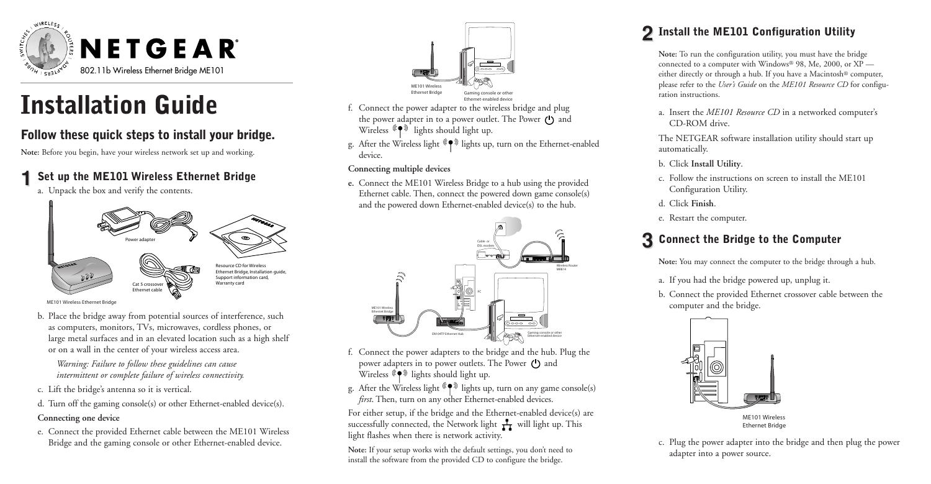

# **Installation Guide**

## **Follow these quick steps to install your bridge.**

**Note:** Before you begin, have your wireless network set up and working.

## **1 Set up the ME101 Wireless Ethernet Bridge**

a. Unpack the box and verify the contents.



ME101 Wireless Ethernet Bridge

b. Place the bridge away from potential sources of interference, such as computers, monitors, TVs, microwaves, cordless phones, or large metal surfaces and in an elevated location such as a high shelf or on a wall in the center of your wireless access area.

*Warning: Failure to follow these guidelines can cause intermittent or complete failure of wireless connectivity.*

- c. Lift the bridge's antenna so it is vertical.
- d. Turn off the gaming console(s) or other Ethernet-enabled device(s).

#### **Connecting one device**

e. Connect the provided Ethernet cable between the ME101 Wireless Bridge and the gaming console or other Ethernet-enabled device.



- f. Connect the power adapter to the wireless bridge and plug the power adapter in to a power outlet. The Power (1) and Wireless  $(\phi)$  lights should light up.
- g. After the Wireless light  $(\blacklozenge)$  lights up, turn on the Ethernet-enabled device.

### **Connecting multiple devices**

**e.** Connect the ME101 Wireless Bridge to a hub using the provided Ethernet cable. Then, connect the powered down game console(s) and the powered down Ethernet-enabled device(s) to the hub.



- f. Connect the power adapters to the bridge and the hub. Plug the power adapters in to power outlets. The Power (1) and Wireless  $\widehat{I}(\bullet)$  lights should light up.
- g. After the Wireless light  $(\P^{\mathcal{D}})$  lights up, turn on any game console(s) *first*. Then, turn on any other Ethernet-enabled devices.

For either setup, if the bridge and the Ethernet-enabled device(s) are successfully connected, the Network light  $\frac{1}{\sqrt{1}}$  will light up. This light flashes when there is network activity.

**Note:** If your setup works with the default settings, you don't need to install the software from the provided CD to configure the bridge.

# **2 Install the ME101 Configuration Utility**

**Note:** To run the configuration utility, you must have the bridge connected to a computer with Windows® 98, Me, 2000, or XP either directly or through a hub. If you have a Macintosh® computer, please refer to the *User's Guide* on the *ME101 Resource CD* for configuration instructions.

a. Insert the *ME101 Resource CD* in a networked computer's CD-ROM drive.

The NETGEAR software installation utility should start up automatically.

- b. Click **Install Utility**.
- c. Follow the instructions on screen to install the ME101 Configuration Utility.
- d. Click **Finish**.
- e. Restart the computer.

# **3 Connect the Bridge to the Computer**

**Note:** You may connect the computer to the bridge through a hub.

- a. If you had the bridge powered up, unplug it.
- b. Connect the provided Ethernet crossover cable between the computer and the bridge.



Ethernet Bridge

c. Plug the power adapter into the bridge and then plug the power adapter into a power source.